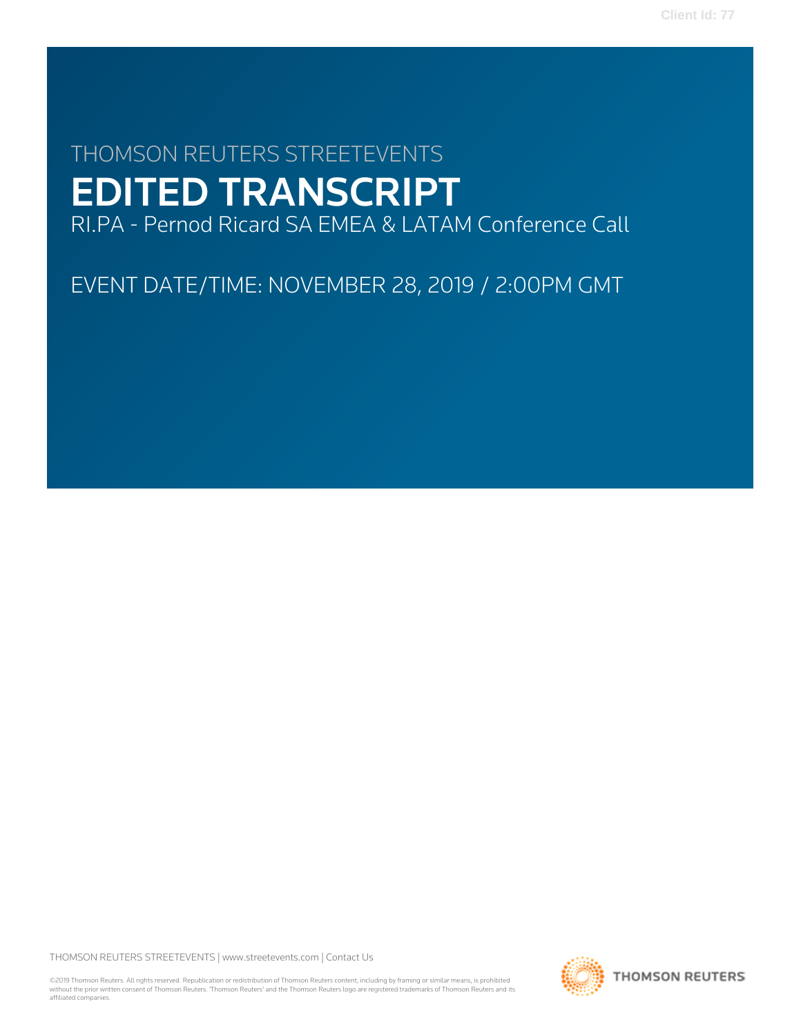# THOMSON REUTERS STREETEVENTS EDITED TRANSCRIPT

RI.PA - Pernod Ricard SA EMEA & LATAM Conference Call

EVENT DATE/TIME: NOVEMBER 28, 2019 / 2:00PM GMT

THOMSON REUTERS STREETEVENTS | [www.streetevents.com](http://www.streetevents.com) | [Contact Us](http://www010.streetevents.com/contact.asp)

©2019 Thomson Reuters. All rights reserved. Republication or redistribution of Thomson Reuters content, including by framing or similar means, is prohibited without the prior written consent of Thomson Reuters. 'Thomson Reuters' and the Thomson Reuters logo are registered trademarks of Thomson Reuters and its affiliated companies.

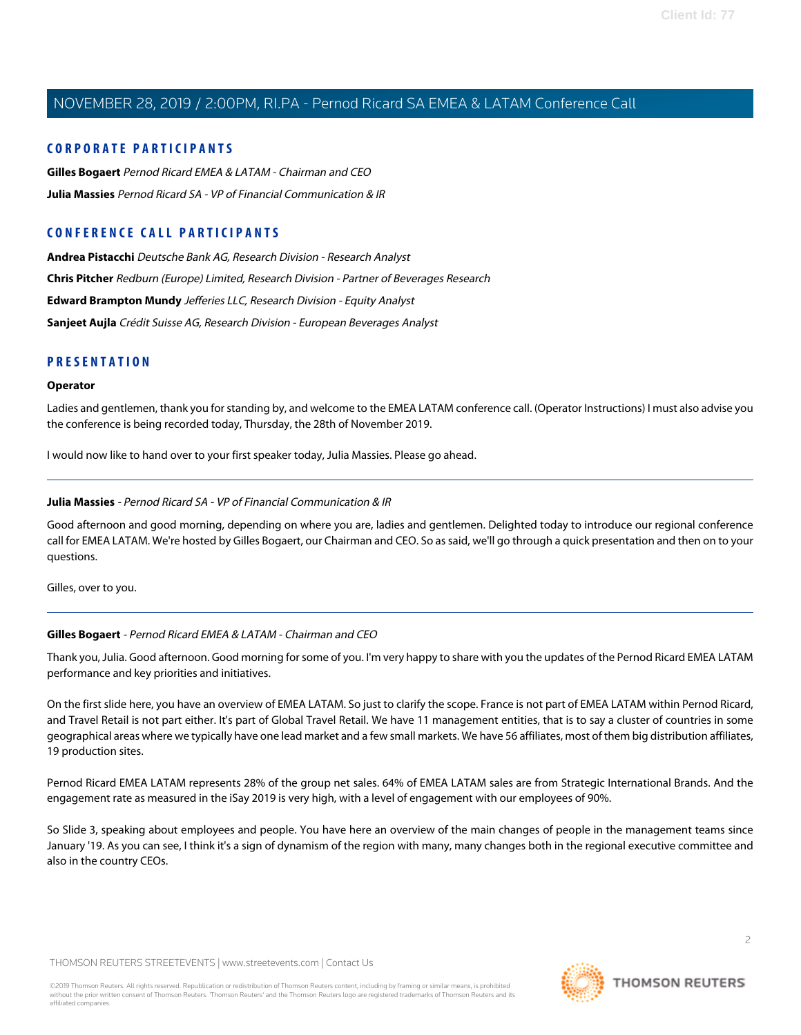#### **CORPORATE PARTICIPANTS**

**[Gilles Bogaert](#page-1-0)** Pernod Ricard EMEA & LATAM - Chairman and CEO **[Julia Massies](#page-1-1)** Pernod Ricard SA - VP of Financial Communication & IR

### **CONFERENCE CALL PARTICIPANTS**

**[Andrea Pistacchi](#page-10-0)** Deutsche Bank AG, Research Division - Research Analyst **[Chris Pitcher](#page-7-0)** Redburn (Europe) Limited, Research Division - Partner of Beverages Research **[Edward Brampton Mundy](#page-7-1)** Jefferies LLC, Research Division - Equity Analyst **[Sanjeet Aujla](#page-5-0)** Crédit Suisse AG, Research Division - European Beverages Analyst

#### **PRESENTATION**

#### **Operator**

Ladies and gentlemen, thank you for standing by, and welcome to the EMEA LATAM conference call. (Operator Instructions) I must also advise you the conference is being recorded today, Thursday, the 28th of November 2019.

<span id="page-1-1"></span>I would now like to hand over to your first speaker today, Julia Massies. Please go ahead.

#### **Julia Massies** - Pernod Ricard SA - VP of Financial Communication & IR

Good afternoon and good morning, depending on where you are, ladies and gentlemen. Delighted today to introduce our regional conference call for EMEA LATAM. We're hosted by Gilles Bogaert, our Chairman and CEO. So as said, we'll go through a quick presentation and then on to your questions.

<span id="page-1-0"></span>Gilles, over to you.

#### **Gilles Bogaert** - Pernod Ricard EMEA & LATAM - Chairman and CEO

Thank you, Julia. Good afternoon. Good morning for some of you. I'm very happy to share with you the updates of the Pernod Ricard EMEA LATAM performance and key priorities and initiatives.

On the first slide here, you have an overview of EMEA LATAM. So just to clarify the scope. France is not part of EMEA LATAM within Pernod Ricard, and Travel Retail is not part either. It's part of Global Travel Retail. We have 11 management entities, that is to say a cluster of countries in some geographical areas where we typically have one lead market and a few small markets. We have 56 affiliates, most of them big distribution affiliates, 19 production sites.

Pernod Ricard EMEA LATAM represents 28% of the group net sales. 64% of EMEA LATAM sales are from Strategic International Brands. And the engagement rate as measured in the iSay 2019 is very high, with a level of engagement with our employees of 90%.

So Slide 3, speaking about employees and people. You have here an overview of the main changes of people in the management teams since January '19. As you can see, I think it's a sign of dynamism of the region with many, many changes both in the regional executive committee and also in the country CEOs.

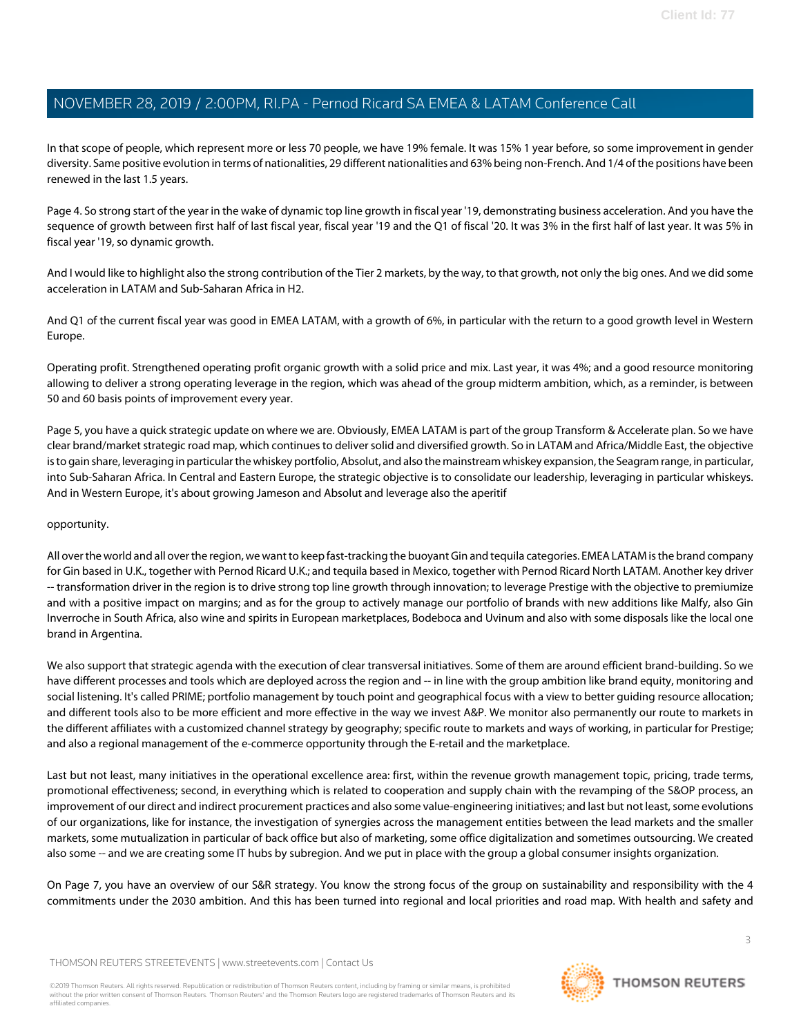In that scope of people, which represent more or less 70 people, we have 19% female. It was 15% 1 year before, so some improvement in gender diversity. Same positive evolution in terms of nationalities, 29 different nationalities and 63% being non-French. And 1/4 of the positions have been renewed in the last 1.5 years.

Page 4. So strong start of the year in the wake of dynamic top line growth in fiscal year '19, demonstrating business acceleration. And you have the sequence of growth between first half of last fiscal year, fiscal year '19 and the Q1 of fiscal '20. It was 3% in the first half of last year. It was 5% in fiscal year '19, so dynamic growth.

And I would like to highlight also the strong contribution of the Tier 2 markets, by the way, to that growth, not only the big ones. And we did some acceleration in LATAM and Sub-Saharan Africa in H2.

And Q1 of the current fiscal year was good in EMEA LATAM, with a growth of 6%, in particular with the return to a good growth level in Western Europe.

Operating profit. Strengthened operating profit organic growth with a solid price and mix. Last year, it was 4%; and a good resource monitoring allowing to deliver a strong operating leverage in the region, which was ahead of the group midterm ambition, which, as a reminder, is between 50 and 60 basis points of improvement every year.

Page 5, you have a quick strategic update on where we are. Obviously, EMEA LATAM is part of the group Transform & Accelerate plan. So we have clear brand/market strategic road map, which continues to deliver solid and diversified growth. So in LATAM and Africa/Middle East, the objective is to gain share, leveraging in particular the whiskey portfolio, Absolut, and also the mainstream whiskey expansion, the Seagram range, in particular, into Sub-Saharan Africa. In Central and Eastern Europe, the strategic objective is to consolidate our leadership, leveraging in particular whiskeys. And in Western Europe, it's about growing Jameson and Absolut and leverage also the aperitif

#### opportunity.

All over the world and all over the region, we want to keep fast-tracking the buoyant Gin and tequila categories. EMEA LATAM is the brand company for Gin based in U.K., together with Pernod Ricard U.K.; and tequila based in Mexico, together with Pernod Ricard North LATAM. Another key driver -- transformation driver in the region is to drive strong top line growth through innovation; to leverage Prestige with the objective to premiumize and with a positive impact on margins; and as for the group to actively manage our portfolio of brands with new additions like Malfy, also Gin Inverroche in South Africa, also wine and spirits in European marketplaces, Bodeboca and Uvinum and also with some disposals like the local one brand in Argentina.

We also support that strategic agenda with the execution of clear transversal initiatives. Some of them are around efficient brand-building. So we have different processes and tools which are deployed across the region and -- in line with the group ambition like brand equity, monitoring and social listening. It's called PRIME; portfolio management by touch point and geographical focus with a view to better guiding resource allocation; and different tools also to be more efficient and more effective in the way we invest A&P. We monitor also permanently our route to markets in the different affiliates with a customized channel strategy by geography; specific route to markets and ways of working, in particular for Prestige; and also a regional management of the e-commerce opportunity through the E-retail and the marketplace.

Last but not least, many initiatives in the operational excellence area: first, within the revenue growth management topic, pricing, trade terms, promotional effectiveness; second, in everything which is related to cooperation and supply chain with the revamping of the S&OP process, an improvement of our direct and indirect procurement practices and also some value-engineering initiatives; and last but not least, some evolutions of our organizations, like for instance, the investigation of synergies across the management entities between the lead markets and the smaller markets, some mutualization in particular of back office but also of marketing, some office digitalization and sometimes outsourcing. We created also some -- and we are creating some IT hubs by subregion. And we put in place with the group a global consumer insights organization.

On Page 7, you have an overview of our S&R strategy. You know the strong focus of the group on sustainability and responsibility with the 4 commitments under the 2030 ambition. And this has been turned into regional and local priorities and road map. With health and safety and

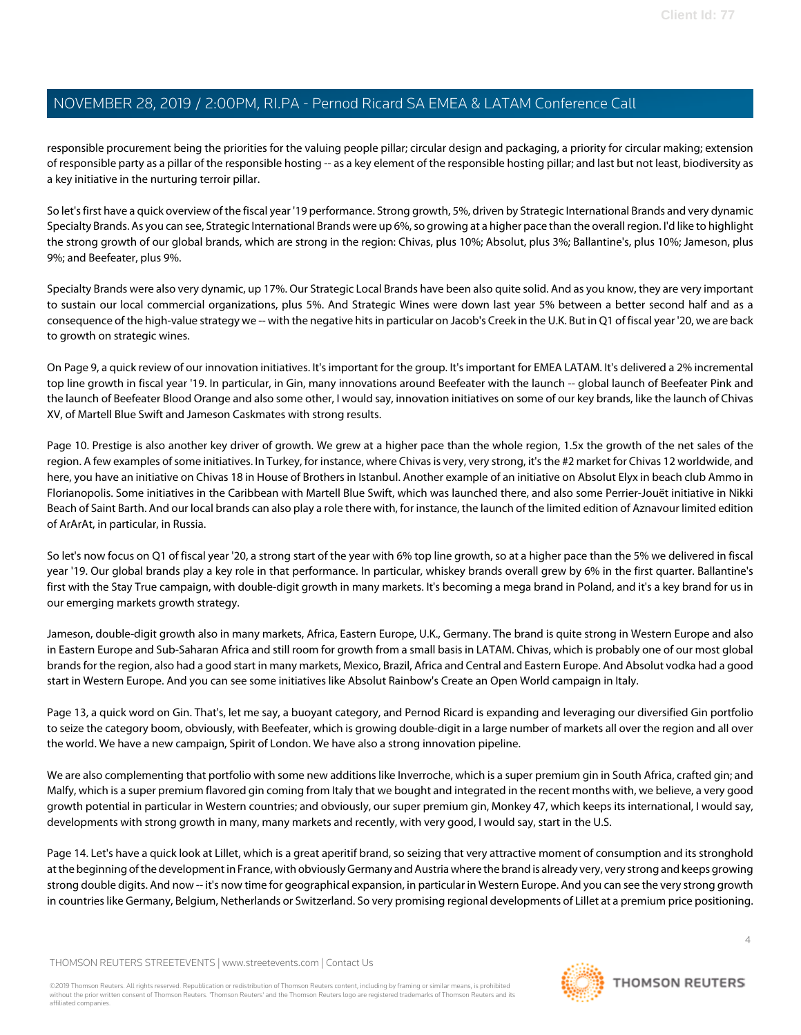responsible procurement being the priorities for the valuing people pillar; circular design and packaging, a priority for circular making; extension of responsible party as a pillar of the responsible hosting -- as a key element of the responsible hosting pillar; and last but not least, biodiversity as a key initiative in the nurturing terroir pillar.

So let's first have a quick overview of the fiscal year '19 performance. Strong growth, 5%, driven by Strategic International Brands and very dynamic Specialty Brands. As you can see, Strategic International Brands were up 6%, so growing at a higher pace than the overall region. I'd like to highlight the strong growth of our global brands, which are strong in the region: Chivas, plus 10%; Absolut, plus 3%; Ballantine's, plus 10%; Jameson, plus 9%; and Beefeater, plus 9%.

Specialty Brands were also very dynamic, up 17%. Our Strategic Local Brands have been also quite solid. And as you know, they are very important to sustain our local commercial organizations, plus 5%. And Strategic Wines were down last year 5% between a better second half and as a consequence of the high-value strategy we -- with the negative hits in particular on Jacob's Creek in the U.K. But in Q1 of fiscal year '20, we are back to growth on strategic wines.

On Page 9, a quick review of our innovation initiatives. It's important for the group. It's important for EMEA LATAM. It's delivered a 2% incremental top line growth in fiscal year '19. In particular, in Gin, many innovations around Beefeater with the launch -- global launch of Beefeater Pink and the launch of Beefeater Blood Orange and also some other, I would say, innovation initiatives on some of our key brands, like the launch of Chivas XV, of Martell Blue Swift and Jameson Caskmates with strong results.

Page 10. Prestige is also another key driver of growth. We grew at a higher pace than the whole region, 1.5x the growth of the net sales of the region. A few examples of some initiatives. In Turkey, for instance, where Chivas is very, very strong, it's the #2 market for Chivas 12 worldwide, and here, you have an initiative on Chivas 18 in House of Brothers in Istanbul. Another example of an initiative on Absolut Elyx in beach club Ammo in Florianopolis. Some initiatives in the Caribbean with Martell Blue Swift, which was launched there, and also some Perrier-Jouët initiative in Nikki Beach of Saint Barth. And our local brands can also play a role there with, for instance, the launch of the limited edition of Aznavour limited edition of ArArAt, in particular, in Russia.

So let's now focus on Q1 of fiscal year '20, a strong start of the year with 6% top line growth, so at a higher pace than the 5% we delivered in fiscal year '19. Our global brands play a key role in that performance. In particular, whiskey brands overall grew by 6% in the first quarter. Ballantine's first with the Stay True campaign, with double-digit growth in many markets. It's becoming a mega brand in Poland, and it's a key brand for us in our emerging markets growth strategy.

Jameson, double-digit growth also in many markets, Africa, Eastern Europe, U.K., Germany. The brand is quite strong in Western Europe and also in Eastern Europe and Sub-Saharan Africa and still room for growth from a small basis in LATAM. Chivas, which is probably one of our most global brands for the region, also had a good start in many markets, Mexico, Brazil, Africa and Central and Eastern Europe. And Absolut vodka had a good start in Western Europe. And you can see some initiatives like Absolut Rainbow's Create an Open World campaign in Italy.

Page 13, a quick word on Gin. That's, let me say, a buoyant category, and Pernod Ricard is expanding and leveraging our diversified Gin portfolio to seize the category boom, obviously, with Beefeater, which is growing double-digit in a large number of markets all over the region and all over the world. We have a new campaign, Spirit of London. We have also a strong innovation pipeline.

We are also complementing that portfolio with some new additions like Inverroche, which is a super premium gin in South Africa, crafted gin; and Malfy, which is a super premium flavored gin coming from Italy that we bought and integrated in the recent months with, we believe, a very good growth potential in particular in Western countries; and obviously, our super premium gin, Monkey 47, which keeps its international, I would say, developments with strong growth in many, many markets and recently, with very good, I would say, start in the U.S.

Page 14. Let's have a quick look at Lillet, which is a great aperitif brand, so seizing that very attractive moment of consumption and its stronghold at the beginning of the development in France, with obviously Germany and Austria where the brand is already very, very strong and keeps growing strong double digits. And now -- it's now time for geographical expansion, in particular in Western Europe. And you can see the very strong growth in countries like Germany, Belgium, Netherlands or Switzerland. So very promising regional developments of Lillet at a premium price positioning.

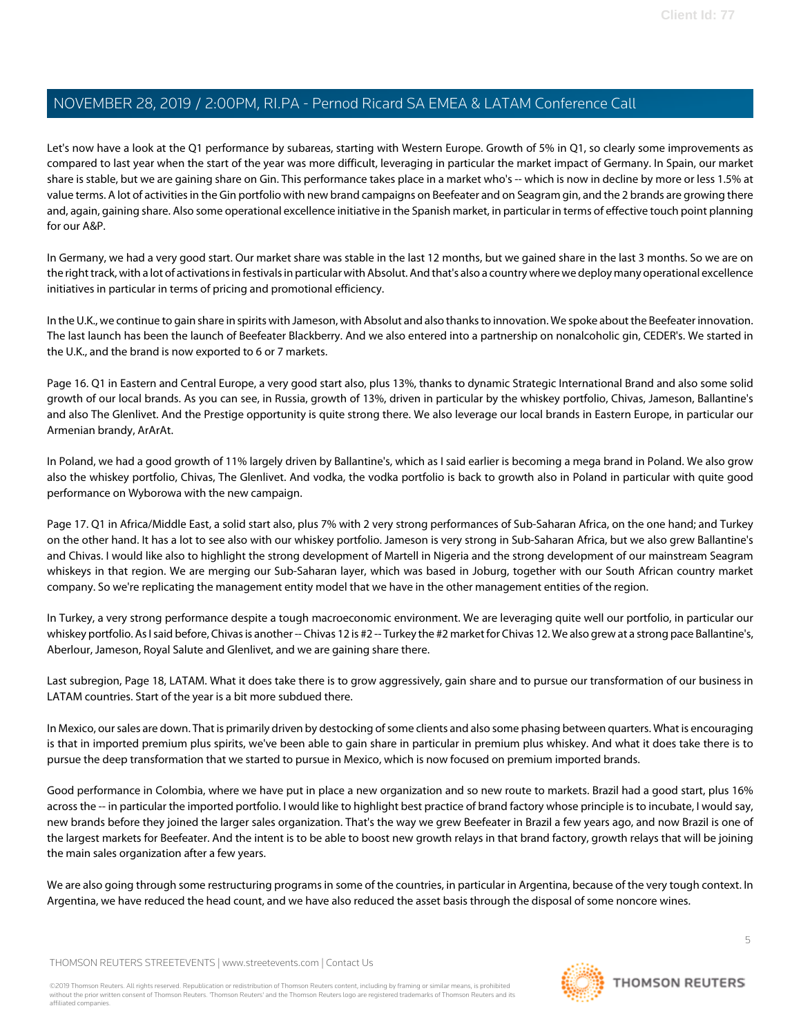Let's now have a look at the Q1 performance by subareas, starting with Western Europe. Growth of 5% in Q1, so clearly some improvements as compared to last year when the start of the year was more difficult, leveraging in particular the market impact of Germany. In Spain, our market share is stable, but we are gaining share on Gin. This performance takes place in a market who's -- which is now in decline by more or less 1.5% at value terms. A lot of activities in the Gin portfolio with new brand campaigns on Beefeater and on Seagram gin, and the 2 brands are growing there and, again, gaining share. Also some operational excellence initiative in the Spanish market, in particular in terms of effective touch point planning for our A&P.

In Germany, we had a very good start. Our market share was stable in the last 12 months, but we gained share in the last 3 months. So we are on the right track, with a lot of activations in festivals in particular with Absolut. And that's also a country where we deploy many operational excellence initiatives in particular in terms of pricing and promotional efficiency.

In the U.K., we continue to gain share in spirits with Jameson, with Absolut and also thanks to innovation. We spoke about the Beefeater innovation. The last launch has been the launch of Beefeater Blackberry. And we also entered into a partnership on nonalcoholic gin, CEDER's. We started in the U.K., and the brand is now exported to 6 or 7 markets.

Page 16. Q1 in Eastern and Central Europe, a very good start also, plus 13%, thanks to dynamic Strategic International Brand and also some solid growth of our local brands. As you can see, in Russia, growth of 13%, driven in particular by the whiskey portfolio, Chivas, Jameson, Ballantine's and also The Glenlivet. And the Prestige opportunity is quite strong there. We also leverage our local brands in Eastern Europe, in particular our Armenian brandy, ArArAt.

In Poland, we had a good growth of 11% largely driven by Ballantine's, which as I said earlier is becoming a mega brand in Poland. We also grow also the whiskey portfolio, Chivas, The Glenlivet. And vodka, the vodka portfolio is back to growth also in Poland in particular with quite good performance on Wyborowa with the new campaign.

Page 17. Q1 in Africa/Middle East, a solid start also, plus 7% with 2 very strong performances of Sub-Saharan Africa, on the one hand; and Turkey on the other hand. It has a lot to see also with our whiskey portfolio. Jameson is very strong in Sub-Saharan Africa, but we also grew Ballantine's and Chivas. I would like also to highlight the strong development of Martell in Nigeria and the strong development of our mainstream Seagram whiskeys in that region. We are merging our Sub-Saharan layer, which was based in Joburg, together with our South African country market company. So we're replicating the management entity model that we have in the other management entities of the region.

In Turkey, a very strong performance despite a tough macroeconomic environment. We are leveraging quite well our portfolio, in particular our whiskey portfolio. As I said before, Chivas is another -- Chivas 12 is #2 -- Turkey the #2 market for Chivas 12. We also grew at a strong pace Ballantine's, Aberlour, Jameson, Royal Salute and Glenlivet, and we are gaining share there.

Last subregion, Page 18, LATAM. What it does take there is to grow aggressively, gain share and to pursue our transformation of our business in LATAM countries. Start of the year is a bit more subdued there.

In Mexico, our sales are down. That is primarily driven by destocking of some clients and also some phasing between quarters. What is encouraging is that in imported premium plus spirits, we've been able to gain share in particular in premium plus whiskey. And what it does take there is to pursue the deep transformation that we started to pursue in Mexico, which is now focused on premium imported brands.

Good performance in Colombia, where we have put in place a new organization and so new route to markets. Brazil had a good start, plus 16% across the -- in particular the imported portfolio. I would like to highlight best practice of brand factory whose principle is to incubate, I would say, new brands before they joined the larger sales organization. That's the way we grew Beefeater in Brazil a few years ago, and now Brazil is one of the largest markets for Beefeater. And the intent is to be able to boost new growth relays in that brand factory, growth relays that will be joining the main sales organization after a few years.

We are also going through some restructuring programs in some of the countries, in particular in Argentina, because of the very tough context. In Argentina, we have reduced the head count, and we have also reduced the asset basis through the disposal of some noncore wines.

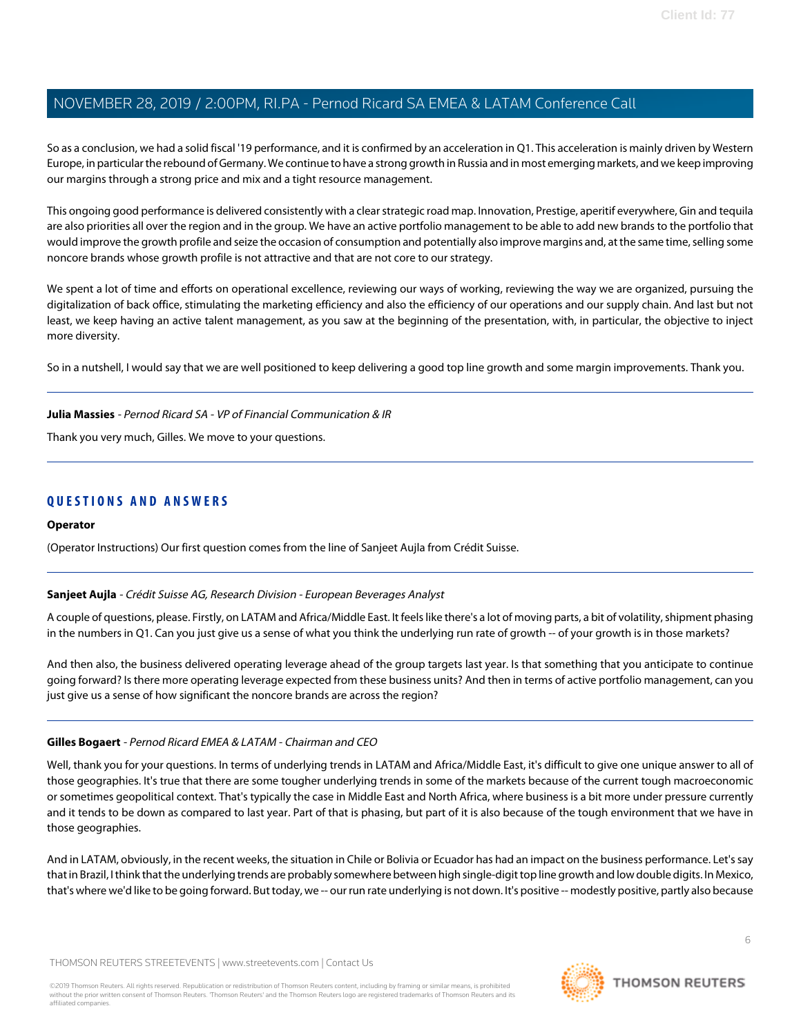So as a conclusion, we had a solid fiscal '19 performance, and it is confirmed by an acceleration in Q1. This acceleration is mainly driven by Western Europe, in particular the rebound of Germany. We continue to have a strong growth in Russia and in most emerging markets, and we keep improving our margins through a strong price and mix and a tight resource management.

This ongoing good performance is delivered consistently with a clear strategic road map. Innovation, Prestige, aperitif everywhere, Gin and tequila are also priorities all over the region and in the group. We have an active portfolio management to be able to add new brands to the portfolio that would improve the growth profile and seize the occasion of consumption and potentially also improve margins and, at the same time, selling some noncore brands whose growth profile is not attractive and that are not core to our strategy.

We spent a lot of time and efforts on operational excellence, reviewing our ways of working, reviewing the way we are organized, pursuing the digitalization of back office, stimulating the marketing efficiency and also the efficiency of our operations and our supply chain. And last but not least, we keep having an active talent management, as you saw at the beginning of the presentation, with, in particular, the objective to inject more diversity.

So in a nutshell, I would say that we are well positioned to keep delivering a good top line growth and some margin improvements. Thank you.

#### **Julia Massies** - Pernod Ricard SA - VP of Financial Communication & IR

Thank you very much, Gilles. We move to your questions.

## **QUESTIONS AND ANSWERS**

#### <span id="page-5-0"></span>**Operator**

(Operator Instructions) Our first question comes from the line of Sanjeet Aujla from Crédit Suisse.

#### **Sanjeet Aujla** - Crédit Suisse AG, Research Division - European Beverages Analyst

A couple of questions, please. Firstly, on LATAM and Africa/Middle East. It feels like there's a lot of moving parts, a bit of volatility, shipment phasing in the numbers in Q1. Can you just give us a sense of what you think the underlying run rate of growth -- of your growth is in those markets?

And then also, the business delivered operating leverage ahead of the group targets last year. Is that something that you anticipate to continue going forward? Is there more operating leverage expected from these business units? And then in terms of active portfolio management, can you just give us a sense of how significant the noncore brands are across the region?

#### **Gilles Bogaert** - Pernod Ricard EMEA & LATAM - Chairman and CEO

Well, thank you for your questions. In terms of underlying trends in LATAM and Africa/Middle East, it's difficult to give one unique answer to all of those geographies. It's true that there are some tougher underlying trends in some of the markets because of the current tough macroeconomic or sometimes geopolitical context. That's typically the case in Middle East and North Africa, where business is a bit more under pressure currently and it tends to be down as compared to last year. Part of that is phasing, but part of it is also because of the tough environment that we have in those geographies.

And in LATAM, obviously, in the recent weeks, the situation in Chile or Bolivia or Ecuador has had an impact on the business performance. Let's say that in Brazil, I think that the underlying trends are probably somewhere between high single-digit top line growth and low double digits. In Mexico, that's where we'd like to be going forward. But today, we -- our run rate underlying is not down. It's positive -- modestly positive, partly also because

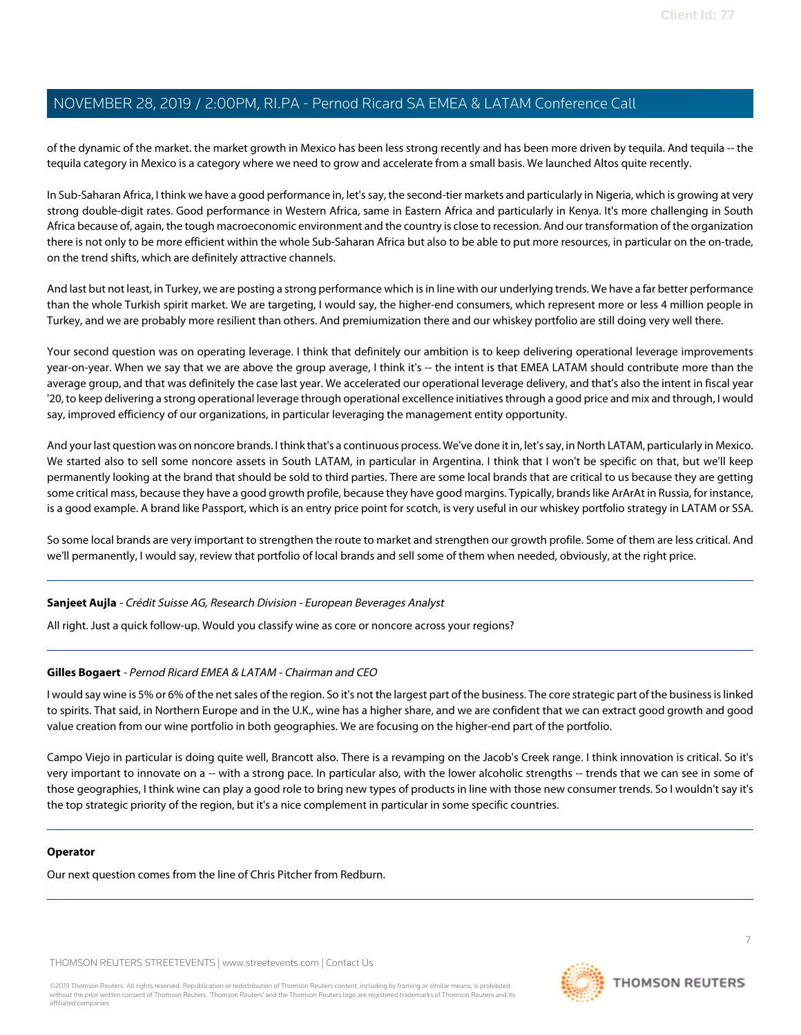of the dynamic of the market. the market growth in Mexico has been less strong recently and has been more driven by tequila. And tequila -- the tequila category in Mexico is a category where we need to grow and accelerate from a small basis. We launched Altos quite recently.

In Sub-Saharan Africa, I think we have a good performance in, let's say, the second-tier markets and particularly in Nigeria, which is growing at very strong double-digit rates. Good performance in Western Africa, same in Eastern Africa and particularly in Kenya. It's more challenging in South Africa because of, again, the tough macroeconomic environment and the country is close to recession. And our transformation of the organization there is not only to be more efficient within the whole Sub-Saharan Africa but also to be able to put more resources, in particular on the on-trade, on the trend shifts, which are definitely attractive channels.

And last but not least, in Turkey, we are posting a strong performance which is in line with our underlying trends. We have a far better performance than the whole Turkish spirit market. We are targeting, I would say, the higher-end consumers, which represent more or less 4 million people in Turkey, and we are probably more resilient than others. And premiumization there and our whiskey portfolio are still doing very well there.

Your second question was on operating leverage. I think that definitely our ambition is to keep delivering operational leverage improvements year-on-year. When we say that we are above the group average, I think it's -- the intent is that EMEA LATAM should contribute more than the average group, and that was definitely the case last year. We accelerated our operational leverage delivery, and that's also the intent in fiscal year '20, to keep delivering a strong operational leverage through operational excellence initiatives through a good price and mix and through, I would say, improved efficiency of our organizations, in particular leveraging the management entity opportunity.

And your last question was on noncore brands. I think that's a continuous process. We've done it in, let's say, in North LATAM, particularly in Mexico. We started also to sell some noncore assets in South LATAM, in particular in Argentina. I think that I won't be specific on that, but we'll keep permanently looking at the brand that should be sold to third parties. There are some local brands that are critical to us because they are getting some critical mass, because they have a good growth profile, because they have good margins. Typically, brands like ArArAt in Russia, for instance, is a good example. A brand like Passport, which is an entry price point for scotch, is very useful in our whiskey portfolio strategy in LATAM or SSA.

So some local brands are very important to strengthen the route to market and strengthen our growth profile. Some of them are less critical. And we'll permanently, I would say, review that portfolio of local brands and sell some of them when needed, obviously, at the right price.

#### **Sanjeet Aujla** - Crédit Suisse AG, Research Division - European Beverages Analyst

All right. Just a quick follow-up. Would you classify wine as core or noncore across your regions?

#### **Gilles Bogaert** - Pernod Ricard EMEA & LATAM - Chairman and CEO

I would say wine is 5% or 6% of the net sales of the region. So it's not the largest part of the business. The core strategic part of the business is linked to spirits. That said, in Northern Europe and in the U.K., wine has a higher share, and we are confident that we can extract good growth and good value creation from our wine portfolio in both geographies. We are focusing on the higher-end part of the portfolio.

Campo Viejo in particular is doing quite well, Brancott also. There is a revamping on the Jacob's Creek range. I think innovation is critical. So it's very important to innovate on a -- with a strong pace. In particular also, with the lower alcoholic strengths -- trends that we can see in some of those geographies, I think wine can play a good role to bring new types of products in line with those new consumer trends. So I wouldn't say it's the top strategic priority of the region, but it's a nice complement in particular in some specific countries.

#### **Operator**

Our next question comes from the line of Chris Pitcher from Redburn.

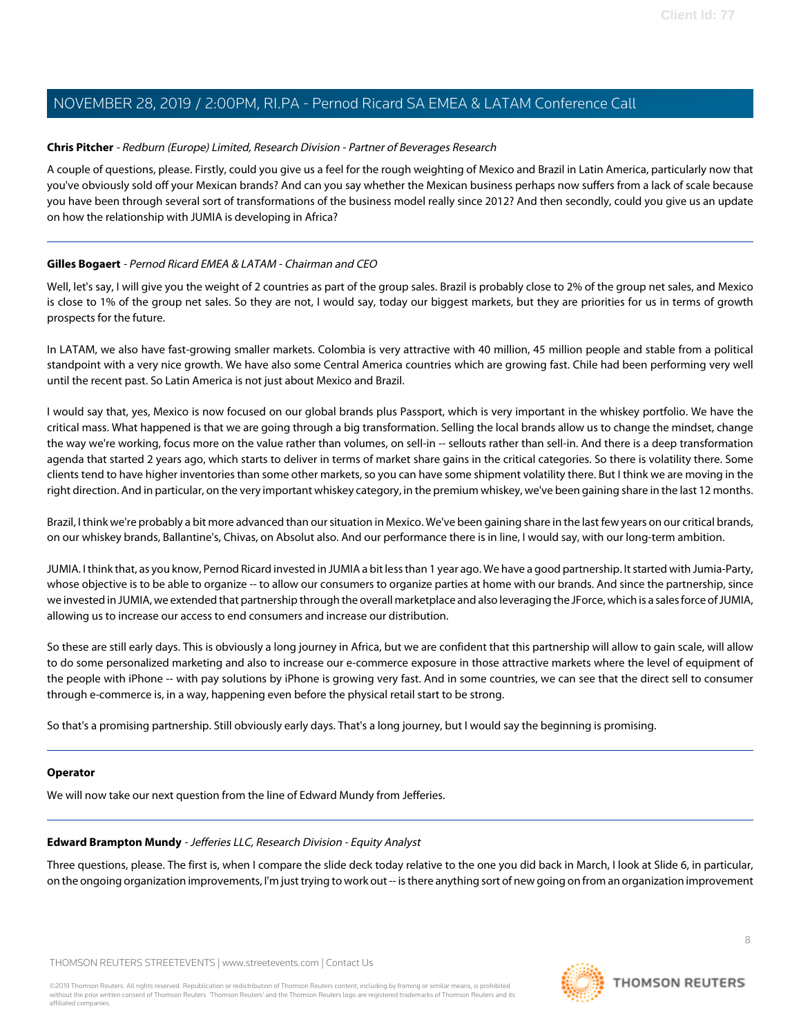#### <span id="page-7-0"></span>**Chris Pitcher** - Redburn (Europe) Limited, Research Division - Partner of Beverages Research

A couple of questions, please. Firstly, could you give us a feel for the rough weighting of Mexico and Brazil in Latin America, particularly now that you've obviously sold off your Mexican brands? And can you say whether the Mexican business perhaps now suffers from a lack of scale because you have been through several sort of transformations of the business model really since 2012? And then secondly, could you give us an update on how the relationship with JUMIA is developing in Africa?

#### **Gilles Bogaert** - Pernod Ricard EMEA & LATAM - Chairman and CEO

Well, let's say, I will give you the weight of 2 countries as part of the group sales. Brazil is probably close to 2% of the group net sales, and Mexico is close to 1% of the group net sales. So they are not, I would say, today our biggest markets, but they are priorities for us in terms of growth prospects for the future.

In LATAM, we also have fast-growing smaller markets. Colombia is very attractive with 40 million, 45 million people and stable from a political standpoint with a very nice growth. We have also some Central America countries which are growing fast. Chile had been performing very well until the recent past. So Latin America is not just about Mexico and Brazil.

I would say that, yes, Mexico is now focused on our global brands plus Passport, which is very important in the whiskey portfolio. We have the critical mass. What happened is that we are going through a big transformation. Selling the local brands allow us to change the mindset, change the way we're working, focus more on the value rather than volumes, on sell-in -- sellouts rather than sell-in. And there is a deep transformation agenda that started 2 years ago, which starts to deliver in terms of market share gains in the critical categories. So there is volatility there. Some clients tend to have higher inventories than some other markets, so you can have some shipment volatility there. But I think we are moving in the right direction. And in particular, on the very important whiskey category, in the premium whiskey, we've been gaining share in the last 12 months.

Brazil, I think we're probably a bit more advanced than our situation in Mexico. We've been gaining share in the last few years on our critical brands, on our whiskey brands, Ballantine's, Chivas, on Absolut also. And our performance there is in line, I would say, with our long-term ambition.

JUMIA. I think that, as you know, Pernod Ricard invested in JUMIA a bit less than 1 year ago. We have a good partnership. It started with Jumia-Party, whose objective is to be able to organize -- to allow our consumers to organize parties at home with our brands. And since the partnership, since we invested in JUMIA, we extended that partnership through the overall marketplace and also leveraging the JForce, which is a sales force of JUMIA, allowing us to increase our access to end consumers and increase our distribution.

So these are still early days. This is obviously a long journey in Africa, but we are confident that this partnership will allow to gain scale, will allow to do some personalized marketing and also to increase our e-commerce exposure in those attractive markets where the level of equipment of the people with iPhone -- with pay solutions by iPhone is growing very fast. And in some countries, we can see that the direct sell to consumer through e-commerce is, in a way, happening even before the physical retail start to be strong.

So that's a promising partnership. Still obviously early days. That's a long journey, but I would say the beginning is promising.

#### <span id="page-7-1"></span>**Operator**

We will now take our next question from the line of Edward Mundy from Jefferies.

#### **Edward Brampton Mundy** - Jefferies LLC, Research Division - Equity Analyst

Three questions, please. The first is, when I compare the slide deck today relative to the one you did back in March, I look at Slide 6, in particular, on the ongoing organization improvements, I'm just trying to work out -- is there anything sort of new going on from an organization improvement

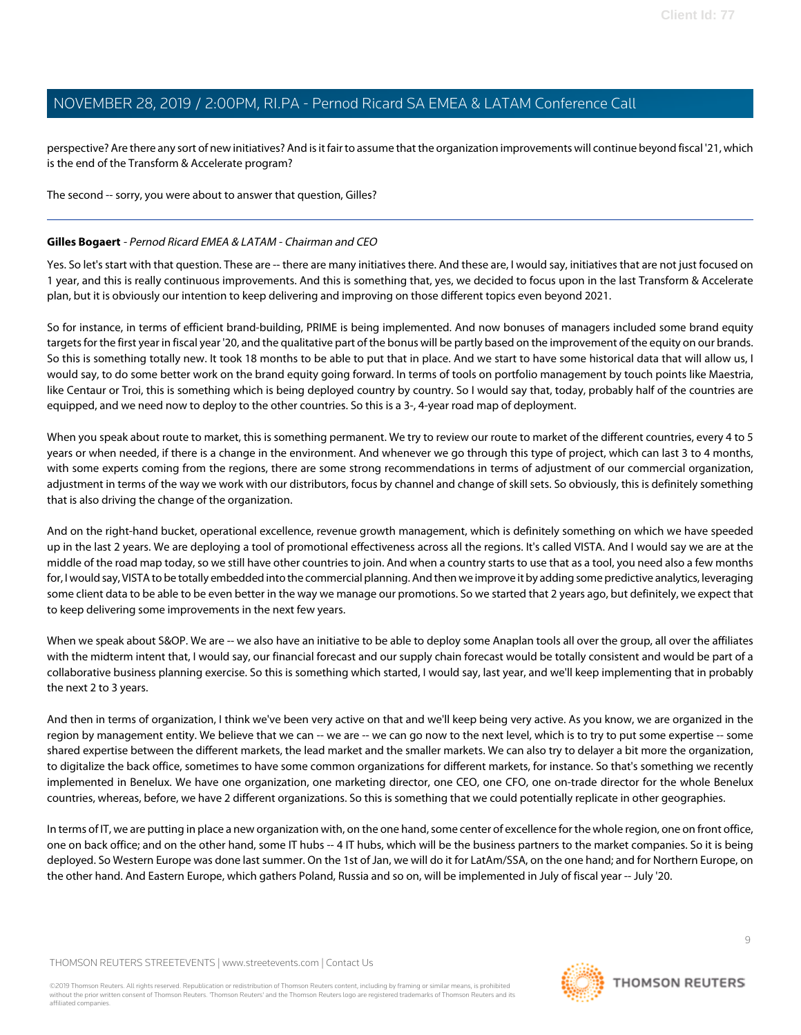perspective? Are there any sort of new initiatives? And is it fair to assume that the organization improvements will continue beyond fiscal '21, which is the end of the Transform & Accelerate program?

#### The second -- sorry, you were about to answer that question, Gilles?

#### **Gilles Bogaert** - Pernod Ricard EMEA & LATAM - Chairman and CEO

Yes. So let's start with that question. These are -- there are many initiatives there. And these are, I would say, initiatives that are not just focused on 1 year, and this is really continuous improvements. And this is something that, yes, we decided to focus upon in the last Transform & Accelerate plan, but it is obviously our intention to keep delivering and improving on those different topics even beyond 2021.

So for instance, in terms of efficient brand-building, PRIME is being implemented. And now bonuses of managers included some brand equity targets for the first year in fiscal year '20, and the qualitative part of the bonus will be partly based on the improvement of the equity on our brands. So this is something totally new. It took 18 months to be able to put that in place. And we start to have some historical data that will allow us, I would say, to do some better work on the brand equity going forward. In terms of tools on portfolio management by touch points like Maestria, like Centaur or Troi, this is something which is being deployed country by country. So I would say that, today, probably half of the countries are equipped, and we need now to deploy to the other countries. So this is a 3-, 4-year road map of deployment.

When you speak about route to market, this is something permanent. We try to review our route to market of the different countries, every 4 to 5 years or when needed, if there is a change in the environment. And whenever we go through this type of project, which can last 3 to 4 months, with some experts coming from the regions, there are some strong recommendations in terms of adjustment of our commercial organization, adjustment in terms of the way we work with our distributors, focus by channel and change of skill sets. So obviously, this is definitely something that is also driving the change of the organization.

And on the right-hand bucket, operational excellence, revenue growth management, which is definitely something on which we have speeded up in the last 2 years. We are deploying a tool of promotional effectiveness across all the regions. It's called VISTA. And I would say we are at the middle of the road map today, so we still have other countries to join. And when a country starts to use that as a tool, you need also a few months for, I would say, VISTA to be totally embedded into the commercial planning. And then we improve it by adding some predictive analytics, leveraging some client data to be able to be even better in the way we manage our promotions. So we started that 2 years ago, but definitely, we expect that to keep delivering some improvements in the next few years.

When we speak about S&OP. We are -- we also have an initiative to be able to deploy some Anaplan tools all over the group, all over the affiliates with the midterm intent that, I would say, our financial forecast and our supply chain forecast would be totally consistent and would be part of a collaborative business planning exercise. So this is something which started, I would say, last year, and we'll keep implementing that in probably the next 2 to 3 years.

And then in terms of organization, I think we've been very active on that and we'll keep being very active. As you know, we are organized in the region by management entity. We believe that we can -- we are -- we can go now to the next level, which is to try to put some expertise -- some shared expertise between the different markets, the lead market and the smaller markets. We can also try to delayer a bit more the organization, to digitalize the back office, sometimes to have some common organizations for different markets, for instance. So that's something we recently implemented in Benelux. We have one organization, one marketing director, one CEO, one CFO, one on-trade director for the whole Benelux countries, whereas, before, we have 2 different organizations. So this is something that we could potentially replicate in other geographies.

In terms of IT, we are putting in place a new organization with, on the one hand, some center of excellence for the whole region, one on front office, one on back office; and on the other hand, some IT hubs -- 4 IT hubs, which will be the business partners to the market companies. So it is being deployed. So Western Europe was done last summer. On the 1st of Jan, we will do it for LatAm/SSA, on the one hand; and for Northern Europe, on the other hand. And Eastern Europe, which gathers Poland, Russia and so on, will be implemented in July of fiscal year -- July '20.

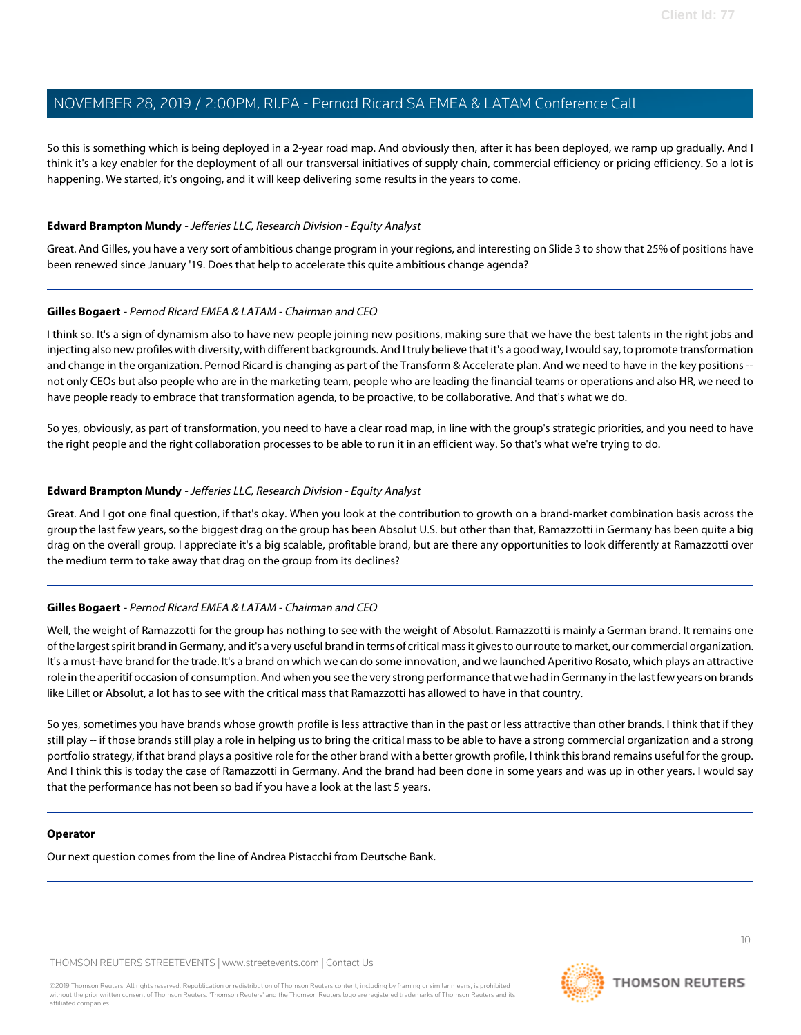So this is something which is being deployed in a 2-year road map. And obviously then, after it has been deployed, we ramp up gradually. And I think it's a key enabler for the deployment of all our transversal initiatives of supply chain, commercial efficiency or pricing efficiency. So a lot is happening. We started, it's ongoing, and it will keep delivering some results in the years to come.

#### **Edward Brampton Mundy** - Jefferies LLC, Research Division - Equity Analyst

Great. And Gilles, you have a very sort of ambitious change program in your regions, and interesting on Slide 3 to show that 25% of positions have been renewed since January '19. Does that help to accelerate this quite ambitious change agenda?

#### **Gilles Bogaert** - Pernod Ricard EMEA & LATAM - Chairman and CEO

I think so. It's a sign of dynamism also to have new people joining new positions, making sure that we have the best talents in the right jobs and injecting also new profiles with diversity, with different backgrounds. And I truly believe that it's a good way, I would say, to promote transformation and change in the organization. Pernod Ricard is changing as part of the Transform & Accelerate plan. And we need to have in the key positions - not only CEOs but also people who are in the marketing team, people who are leading the financial teams or operations and also HR, we need to have people ready to embrace that transformation agenda, to be proactive, to be collaborative. And that's what we do.

So yes, obviously, as part of transformation, you need to have a clear road map, in line with the group's strategic priorities, and you need to have the right people and the right collaboration processes to be able to run it in an efficient way. So that's what we're trying to do.

#### **Edward Brampton Mundy** - Jefferies LLC, Research Division - Equity Analyst

Great. And I got one final question, if that's okay. When you look at the contribution to growth on a brand-market combination basis across the group the last few years, so the biggest drag on the group has been Absolut U.S. but other than that, Ramazzotti in Germany has been quite a big drag on the overall group. I appreciate it's a big scalable, profitable brand, but are there any opportunities to look differently at Ramazzotti over the medium term to take away that drag on the group from its declines?

#### **Gilles Bogaert** - Pernod Ricard EMEA & LATAM - Chairman and CEO

Well, the weight of Ramazzotti for the group has nothing to see with the weight of Absolut. Ramazzotti is mainly a German brand. It remains one of the largest spirit brand in Germany, and it's a very useful brand in terms of critical mass it gives to our route to market, our commercial organization. It's a must-have brand for the trade. It's a brand on which we can do some innovation, and we launched Aperitivo Rosato, which plays an attractive role in the aperitif occasion of consumption. And when you see the very strong performance that we had in Germany in the last few years on brands like Lillet or Absolut, a lot has to see with the critical mass that Ramazzotti has allowed to have in that country.

So yes, sometimes you have brands whose growth profile is less attractive than in the past or less attractive than other brands. I think that if they still play -- if those brands still play a role in helping us to bring the critical mass to be able to have a strong commercial organization and a strong portfolio strategy, if that brand plays a positive role for the other brand with a better growth profile, I think this brand remains useful for the group. And I think this is today the case of Ramazzotti in Germany. And the brand had been done in some years and was up in other years. I would say that the performance has not been so bad if you have a look at the last 5 years.

#### **Operator**

Our next question comes from the line of Andrea Pistacchi from Deutsche Bank.

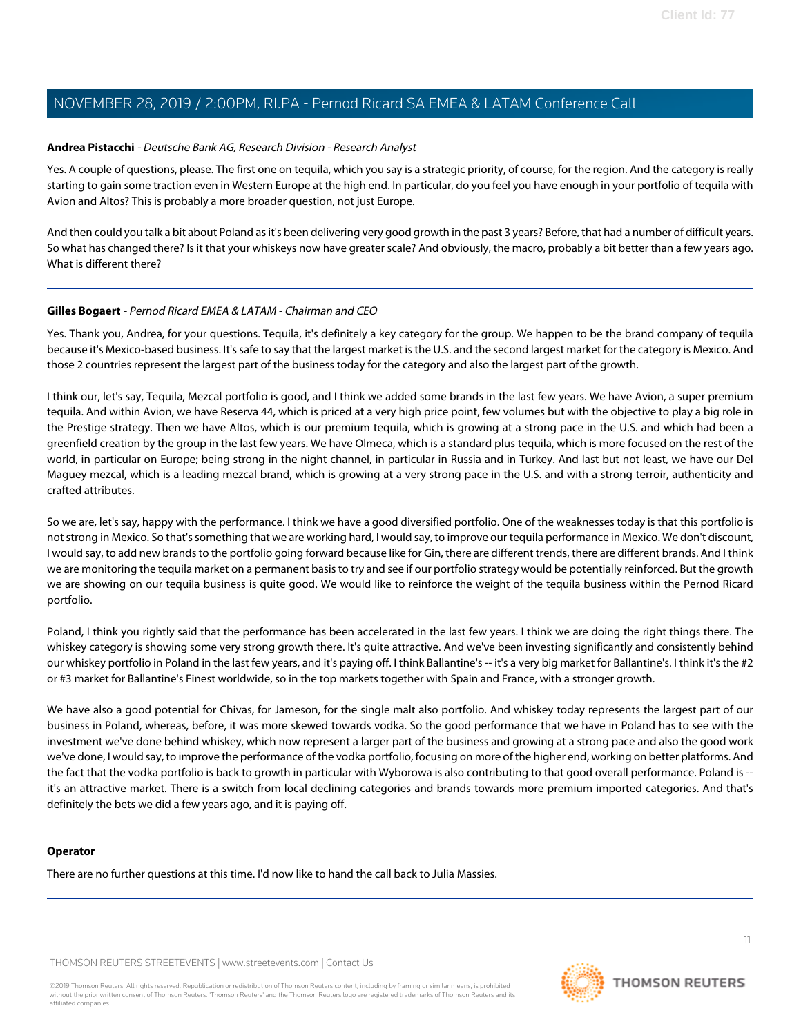#### <span id="page-10-0"></span>**Andrea Pistacchi** - Deutsche Bank AG, Research Division - Research Analyst

Yes. A couple of questions, please. The first one on tequila, which you say is a strategic priority, of course, for the region. And the category is really starting to gain some traction even in Western Europe at the high end. In particular, do you feel you have enough in your portfolio of tequila with Avion and Altos? This is probably a more broader question, not just Europe.

And then could you talk a bit about Poland as it's been delivering very good growth in the past 3 years? Before, that had a number of difficult years. So what has changed there? Is it that your whiskeys now have greater scale? And obviously, the macro, probably a bit better than a few years ago. What is different there?

#### **Gilles Bogaert** - Pernod Ricard EMEA & LATAM - Chairman and CEO

Yes. Thank you, Andrea, for your questions. Tequila, it's definitely a key category for the group. We happen to be the brand company of tequila because it's Mexico-based business. It's safe to say that the largest market is the U.S. and the second largest market for the category is Mexico. And those 2 countries represent the largest part of the business today for the category and also the largest part of the growth.

I think our, let's say, Tequila, Mezcal portfolio is good, and I think we added some brands in the last few years. We have Avion, a super premium tequila. And within Avion, we have Reserva 44, which is priced at a very high price point, few volumes but with the objective to play a big role in the Prestige strategy. Then we have Altos, which is our premium tequila, which is growing at a strong pace in the U.S. and which had been a greenfield creation by the group in the last few years. We have Olmeca, which is a standard plus tequila, which is more focused on the rest of the world, in particular on Europe; being strong in the night channel, in particular in Russia and in Turkey. And last but not least, we have our Del Maguey mezcal, which is a leading mezcal brand, which is growing at a very strong pace in the U.S. and with a strong terroir, authenticity and crafted attributes.

So we are, let's say, happy with the performance. I think we have a good diversified portfolio. One of the weaknesses today is that this portfolio is not strong in Mexico. So that's something that we are working hard, I would say, to improve our tequila performance in Mexico. We don't discount, I would say, to add new brands to the portfolio going forward because like for Gin, there are different trends, there are different brands. And I think we are monitoring the tequila market on a permanent basis to try and see if our portfolio strategy would be potentially reinforced. But the growth we are showing on our tequila business is quite good. We would like to reinforce the weight of the tequila business within the Pernod Ricard portfolio.

Poland, I think you rightly said that the performance has been accelerated in the last few years. I think we are doing the right things there. The whiskey category is showing some very strong growth there. It's quite attractive. And we've been investing significantly and consistently behind our whiskey portfolio in Poland in the last few years, and it's paying off. I think Ballantine's -- it's a very big market for Ballantine's. I think it's the #2 or #3 market for Ballantine's Finest worldwide, so in the top markets together with Spain and France, with a stronger growth.

We have also a good potential for Chivas, for Jameson, for the single malt also portfolio. And whiskey today represents the largest part of our business in Poland, whereas, before, it was more skewed towards vodka. So the good performance that we have in Poland has to see with the investment we've done behind whiskey, which now represent a larger part of the business and growing at a strong pace and also the good work we've done, I would say, to improve the performance of the vodka portfolio, focusing on more of the higher end, working on better platforms. And the fact that the vodka portfolio is back to growth in particular with Wyborowa is also contributing to that good overall performance. Poland is - it's an attractive market. There is a switch from local declining categories and brands towards more premium imported categories. And that's definitely the bets we did a few years ago, and it is paying off.

#### **Operator**

There are no further questions at this time. I'd now like to hand the call back to Julia Massies.